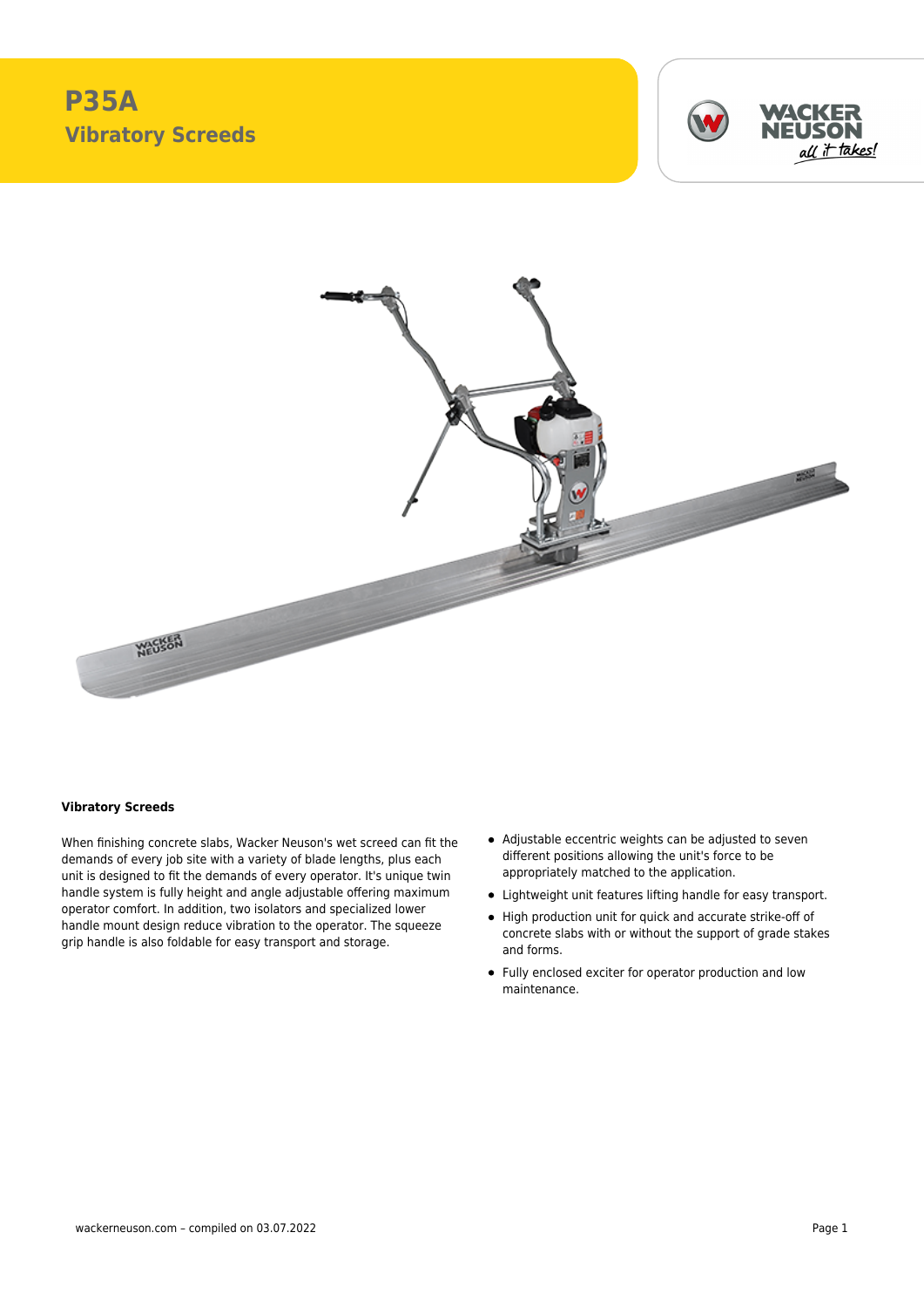# **P35A Vibratory Screeds**





#### **Vibratory Screeds**

When finishing concrete slabs, Wacker Neuson's wet screed can fit the demands of every job site with a variety of blade lengths, plus each unit is designed to fit the demands of every operator. It's unique twin handle system is fully height and angle adjustable offering maximum operator comfort. In addition, two isolators and specialized lower handle mount design reduce vibration to the operator. The squeeze grip handle is also foldable for easy transport and storage.

- Adjustable eccentric weights can be adjusted to seven different positions allowing the unit's force to be appropriately matched to the application.
- Lightweight unit features lifting handle for easy transport.
- High production unit for quick and accurate strike-off of concrete slabs with or without the support of grade stakes and forms.
- Fully enclosed exciter for operator production and low maintenance.